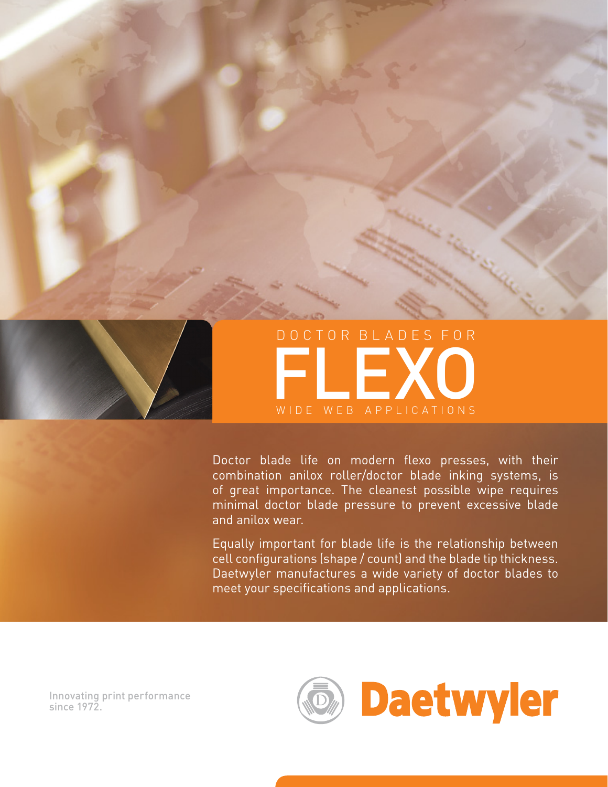

Doctor blade life on modern flexo presses, with their combination anilox roller/doctor blade inking systems, is of great importance. The cleanest possible wipe requires minimal doctor blade pressure to prevent excessive blade and anilox wear.

Equally important for blade life is the relationship between cell configurations (shape / count) and the blade tip thickness. Daetwyler manufactures a wide variety of doctor blades to meet your specifications and applications.

Innovating print performance since 1972.

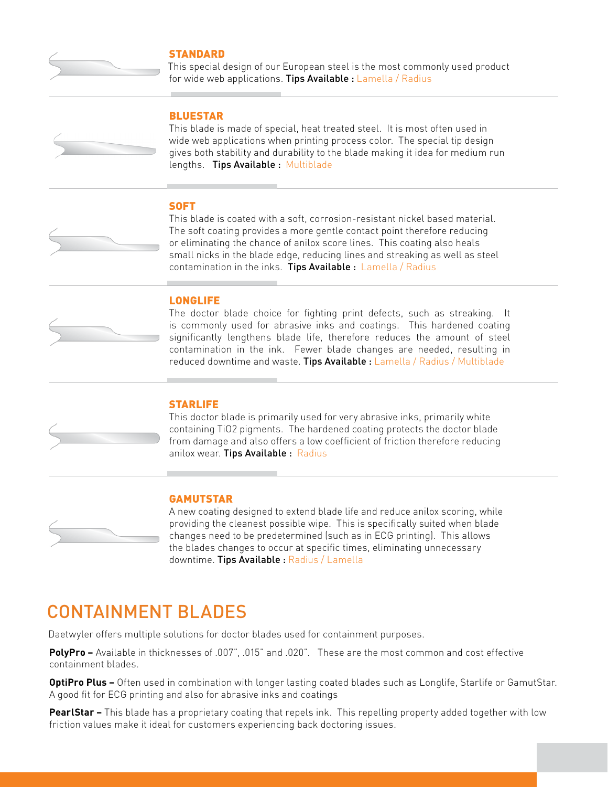

### **STANDARD**

This special design of our European steel is the most commonly used product for wide web applications. Tips Available : Lamella / Radius

### BLUESTAR

This blade is made of special, heat treated steel. It is most often used in wide web applications when printing process color. The special tip design gives both stability and durability to the blade making it idea for medium run lengths. Tips Available : Multiblade

### **SOFT**

This blade is coated with a soft, corrosion-resistant nickel based material. The soft coating provides a more gentle contact point therefore reducing or eliminating the chance of anilox score lines. This coating also heals small nicks in the blade edge, reducing lines and streaking as well as steel contamination in the inks. Tips Available : Lamella / Radius

### **LONGLIFE**

The doctor blade choice for fighting print defects, such as streaking. It is commonly used for abrasive inks and coatings. This hardened coating significantly lengthens blade life, therefore reduces the amount of steel contamination in the ink. Fewer blade changes are needed, resulting in reduced downtime and waste. Tips Available : Lamella / Radius / Multiblade



## **STARLIFE**

This doctor blade is primarily used for very abrasive inks, primarily white containing TiO2 pigments. The hardened coating protects the doctor blade from damage and also offers a low coefficient of friction therefore reducing anilox wear. Tips Available : Radius

### GAMUTSTAR



A new coating designed to extend blade life and reduce anilox scoring, while providing the cleanest possible wipe. This is specifically suited when blade changes need to be predetermined (such as in ECG printing). This allows the blades changes to occur at specific times, eliminating unnecessary downtime. Tips Available : Radius / Lamella

# CONTAINMENT BLADES

Daetwyler offers multiple solutions for doctor blades used for containment purposes.

**PolyPro –** Available in thicknesses of .007", .015" and .020". These are the most common and cost effective containment blades.

**OptiPro Plus –** Often used in combination with longer lasting coated blades such as Longlife, Starlife or GamutStar. A good fit for ECG printing and also for abrasive inks and coatings

**PearlStar –** This blade has a proprietary coating that repels ink. This repelling property added together with low friction values make it ideal for customers experiencing back doctoring issues.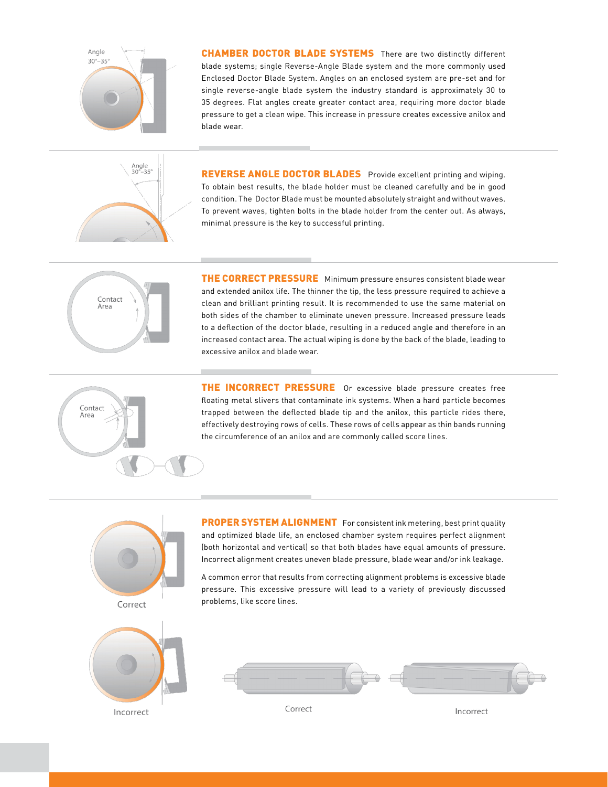

CHAMBER DOCTOR BLADE SYSTEMS There are two distinctly different blade systems; single Reverse-Angle Blade system and the more commonly used Enclosed Doctor Blade System. Angles on an enclosed system are pre-set and for single reverse-angle blade system the industry standard is approximately 30 to 35 degrees. Flat angles create greater contact area, requiring more doctor blade pressure to get a clean wipe. This increase in pressure creates excessive anilox and blade wear.



REVERSE ANGLE DOCTOR BLADES Provide excellent printing and wiping. To obtain best results, the blade holder must be cleaned carefully and be in good condition. The Doctor Blade must be mounted absolutely straight and without waves. To prevent waves, tighten bolts in the blade holder from the center out. As always, minimal pressure is the key to successful printing.



THE CORRECT PRESSURE Minimum pressure ensures consistent blade wear and extended anilox life. The thinner the tip, the less pressure required to achieve a clean and brilliant printing result. It is recommended to use the same material on both sides of the chamber to eliminate uneven pressure. Increased pressure leads to a deflection of the doctor blade, resulting in a reduced angle and therefore in an increased contact area. The actual wiping is done by the back of the blade, leading to excessive anilox and blade wear.



THE INCORRECT PRESSURE Or excessive blade pressure creates free floating metal slivers that contaminate ink systems. When a hard particle becomes trapped between the deflected blade tip and the anilox, this particle rides there, effectively destroying rows of cells. These rows of cells appear as thin bands running the circumference of an anilox and are commonly called score lines.



PROPER SYSTEM ALIGNMENT For consistent ink metering, best print quality and optimized blade life, an enclosed chamber system requires perfect alignment (both horizontal and vertical) so that both blades have equal amounts of pressure. Incorrect alignment creates uneven blade pressure, blade wear and/or ink leakage.

A common error that results from correcting alignment problems is excessive blade pressure. This excessive pressure will lead to a variety of previously discussed problems, like score lines.



Correct

Incorrect